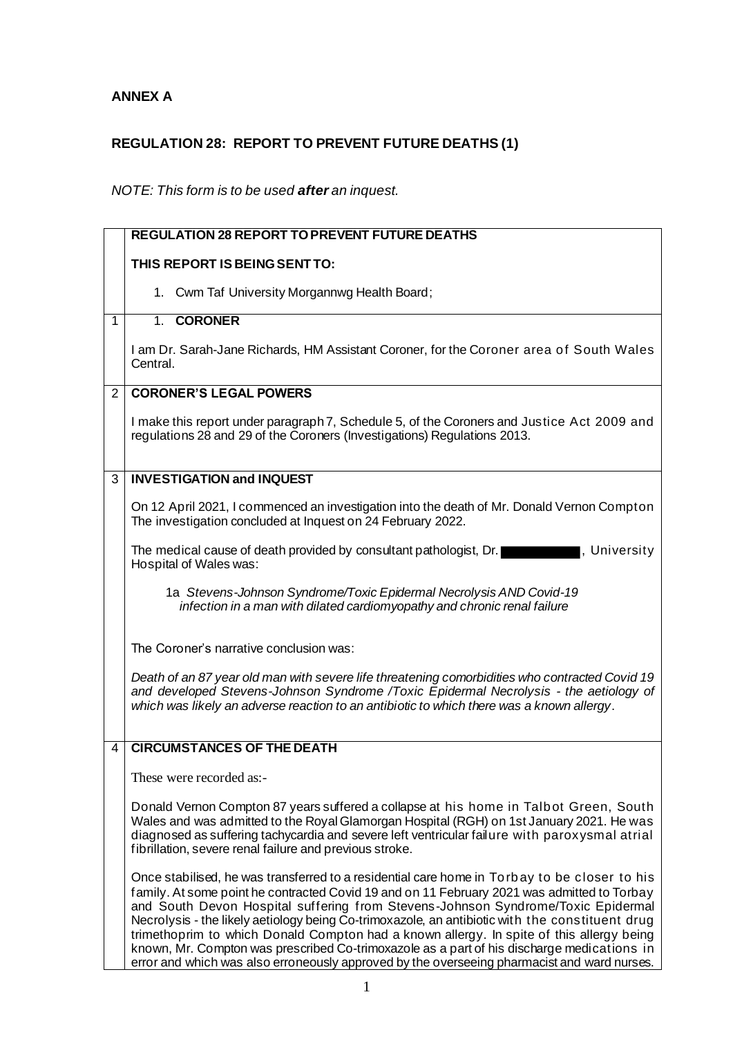## **ANNEX A**

## **REGULATION 28: REPORT TO PREVENT FUTURE DEATHS (1)**

## *NOTE: This form is to be used after an inquest.*

|              | <b>REGULATION 28 REPORT TO PREVENT FUTURE DEATHS</b>                                                                                                                                                                                                                                                                                                                                                                                                                                                                                                                                                                                                                        |
|--------------|-----------------------------------------------------------------------------------------------------------------------------------------------------------------------------------------------------------------------------------------------------------------------------------------------------------------------------------------------------------------------------------------------------------------------------------------------------------------------------------------------------------------------------------------------------------------------------------------------------------------------------------------------------------------------------|
|              | THIS REPORT IS BEING SENT TO:                                                                                                                                                                                                                                                                                                                                                                                                                                                                                                                                                                                                                                               |
|              | 1. Cwm Taf University Morgannwg Health Board;                                                                                                                                                                                                                                                                                                                                                                                                                                                                                                                                                                                                                               |
| $\mathbf{1}$ | 1. CORONER                                                                                                                                                                                                                                                                                                                                                                                                                                                                                                                                                                                                                                                                  |
|              | I am Dr. Sarah-Jane Richards, HM Assistant Coroner, for the Coroner area of South Wales<br>Central.                                                                                                                                                                                                                                                                                                                                                                                                                                                                                                                                                                         |
| 2            | <b>CORONER'S LEGAL POWERS</b>                                                                                                                                                                                                                                                                                                                                                                                                                                                                                                                                                                                                                                               |
|              | I make this report under paragraph 7, Schedule 5, of the Coroners and Justice Act 2009 and<br>regulations 28 and 29 of the Coroners (Investigations) Regulations 2013.                                                                                                                                                                                                                                                                                                                                                                                                                                                                                                      |
| 3            | <b>INVESTIGATION and INQUEST</b>                                                                                                                                                                                                                                                                                                                                                                                                                                                                                                                                                                                                                                            |
|              | On 12 April 2021, I commenced an investigation into the death of Mr. Donald Vernon Compton<br>The investigation concluded at Inquest on 24 February 2022.                                                                                                                                                                                                                                                                                                                                                                                                                                                                                                                   |
|              | The medical cause of death provided by consultant pathologist, Dr.<br>, University<br>Hospital of Wales was:                                                                                                                                                                                                                                                                                                                                                                                                                                                                                                                                                                |
|              | 1a Stevens-Johnson Syndrome/Toxic Epidermal Necrolysis AND Covid-19<br>infection in a man with dilated cardiomyopathy and chronic renal failure                                                                                                                                                                                                                                                                                                                                                                                                                                                                                                                             |
|              | The Coroner's narrative conclusion was:                                                                                                                                                                                                                                                                                                                                                                                                                                                                                                                                                                                                                                     |
|              | Death of an 87 year old man with severe life threatening comorbidities who contracted Covid 19<br>and developed Stevens-Johnson Syndrome /Toxic Epidermal Necrolysis - the aetiology of<br>which was likely an adverse reaction to an antibiotic to which there was a known allergy.                                                                                                                                                                                                                                                                                                                                                                                        |
| 4            | <b>CIRCUMSTANCES OF THE DEATH</b>                                                                                                                                                                                                                                                                                                                                                                                                                                                                                                                                                                                                                                           |
|              | These were recorded as:-                                                                                                                                                                                                                                                                                                                                                                                                                                                                                                                                                                                                                                                    |
|              | Donald Vernon Compton 87 years suffered a collapse at his home in Talbot Green, South<br>Wales and was admitted to the Royal Glamorgan Hospital (RGH) on 1st January 2021. He was<br>diagnosed as suffering tachycardia and severe left ventricular failure with paroxysmal atrial<br>fibrillation, severe renal failure and previous stroke.                                                                                                                                                                                                                                                                                                                               |
|              | Once stabilised, he was transferred to a residential care home in Torbay to be closer to his<br>family. At some point he contracted Covid 19 and on 11 February 2021 was admitted to Torbay<br>and South Devon Hospital suffering from Stevens-Johnson Syndrome/Toxic Epidermal<br>Necrolysis - the likely aetiology being Co-trimoxazole, an antibiotic with the constituent drug<br>trimethoprim to which Donald Compton had a known allergy. In spite of this allergy being<br>known, Mr. Compton was prescribed Co-trimoxazole as a part of his discharge medications in<br>error and which was also erroneously approved by the overseeing pharmacist and ward nurses. |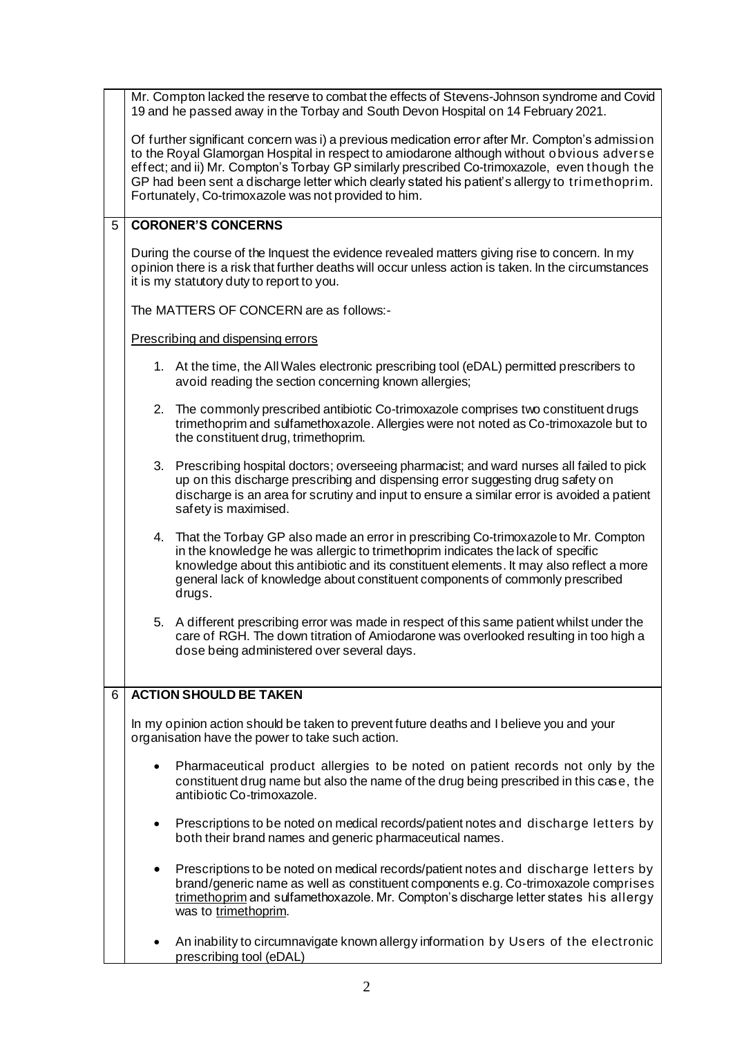|   |                                                                                                                                                                                                                                                                                                                                                                                                                                                         | Mr. Compton lacked the reserve to combat the effects of Stevens-Johnson syndrome and Covid<br>19 and he passed away in the Torbay and South Devon Hospital on 14 February 2021.                                                                                                                                                                                 |  |  |
|---|---------------------------------------------------------------------------------------------------------------------------------------------------------------------------------------------------------------------------------------------------------------------------------------------------------------------------------------------------------------------------------------------------------------------------------------------------------|-----------------------------------------------------------------------------------------------------------------------------------------------------------------------------------------------------------------------------------------------------------------------------------------------------------------------------------------------------------------|--|--|
|   | Of further significant concern was i) a previous medication error after Mr. Compton's admission<br>to the Royal Glamorgan Hospital in respect to amiodarone although without obvious adverse<br>effect; and ii) Mr. Compton's Torbay GP similarly prescribed Co-trimoxazole, even though the<br>GP had been sent a discharge letter which clearly stated his patient's allergy to trimethoprim.<br>Fortunately, Co-trimoxazole was not provided to him. |                                                                                                                                                                                                                                                                                                                                                                 |  |  |
| 5 | <b>CORONER'S CONCERNS</b>                                                                                                                                                                                                                                                                                                                                                                                                                               |                                                                                                                                                                                                                                                                                                                                                                 |  |  |
|   |                                                                                                                                                                                                                                                                                                                                                                                                                                                         | During the course of the Inquest the evidence revealed matters giving rise to concern. In my<br>opinion there is a risk that further deaths will occur unless action is taken. In the circumstances<br>it is my statutory duty to report to you.                                                                                                                |  |  |
|   |                                                                                                                                                                                                                                                                                                                                                                                                                                                         | The MATTERS OF CONCERN are as follows:-                                                                                                                                                                                                                                                                                                                         |  |  |
|   | Prescribing and dispensing errors                                                                                                                                                                                                                                                                                                                                                                                                                       |                                                                                                                                                                                                                                                                                                                                                                 |  |  |
|   |                                                                                                                                                                                                                                                                                                                                                                                                                                                         | 1. At the time, the All Wales electronic prescribing tool (eDAL) permitted prescribers to<br>avoid reading the section concerning known allergies;                                                                                                                                                                                                              |  |  |
|   | 2.                                                                                                                                                                                                                                                                                                                                                                                                                                                      | The commonly prescribed antibiotic Co-trimoxazole comprises two constituent drugs<br>trimethoprim and sulfamethoxazole. Allergies were not noted as Co-trimoxazole but to<br>the constituent drug, trimethoprim.                                                                                                                                                |  |  |
|   |                                                                                                                                                                                                                                                                                                                                                                                                                                                         | 3. Prescribing hospital doctors; overseeing pharmacist; and ward nurses all failed to pick<br>up on this discharge prescribing and dispensing error suggesting drug safety on<br>discharge is an area for scrutiny and input to ensure a similar error is avoided a patient<br>safety is maximised.                                                             |  |  |
|   |                                                                                                                                                                                                                                                                                                                                                                                                                                                         | 4. That the Torbay GP also made an error in prescribing Co-trimoxazole to Mr. Compton<br>in the knowledge he was allergic to trimethoprim indicates the lack of specific<br>knowledge about this antibiotic and its constituent elements. It may also reflect a more<br>general lack of knowledge about constituent components of commonly prescribed<br>drugs. |  |  |
|   |                                                                                                                                                                                                                                                                                                                                                                                                                                                         | 5. A different prescribing error was made in respect of this same patient whilst under the<br>care of RGH. The down titration of Amiodarone was overlooked resulting in too high a<br>dose being administered over several days.                                                                                                                                |  |  |
| 6 |                                                                                                                                                                                                                                                                                                                                                                                                                                                         | <b>ACTION SHOULD BE TAKEN</b>                                                                                                                                                                                                                                                                                                                                   |  |  |
|   |                                                                                                                                                                                                                                                                                                                                                                                                                                                         | In my opinion action should be taken to prevent future deaths and I believe you and your<br>organisation have the power to take such action.                                                                                                                                                                                                                    |  |  |
|   |                                                                                                                                                                                                                                                                                                                                                                                                                                                         | Pharmaceutical product allergies to be noted on patient records not only by the<br>constituent drug name but also the name of the drug being prescribed in this case, the<br>antibiotic Co-trimoxazole.                                                                                                                                                         |  |  |
|   | ٠                                                                                                                                                                                                                                                                                                                                                                                                                                                       | Prescriptions to be noted on medical records/patient notes and discharge letters by<br>both their brand names and generic pharmaceutical names.                                                                                                                                                                                                                 |  |  |
|   | $\bullet$                                                                                                                                                                                                                                                                                                                                                                                                                                               | Prescriptions to be noted on medical records/patient notes and discharge letters by<br>brand/generic name as well as constituent components e.g. Co-trimoxazole comprises<br>trimethoprim and sulfamethoxazole. Mr. Compton's discharge letter states his allergy<br>was to trimethoprim.                                                                       |  |  |
|   |                                                                                                                                                                                                                                                                                                                                                                                                                                                         | An inability to circumnavigate known allergy information by Users of the electronic<br>prescribing tool (eDAL)                                                                                                                                                                                                                                                  |  |  |